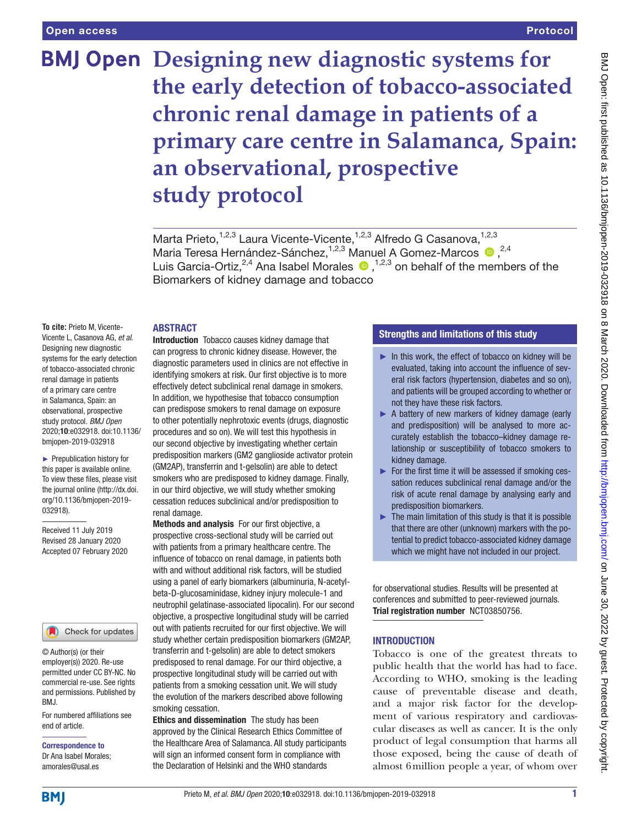# **BMJ Open Designing new diagnostic systems for the early detection of tobacco-associated chronic renal damage in patients of a primary care centre in Salamanca, Spain: an observational, prospective study protocol**

Marta Prieto,<sup>1,2,3</sup> Laura Vicente-Vicente,<sup>1,2,3</sup> Alfredo G Casanova,<sup>1,2,3</sup> MariaTeresa Hernández-Sánchez,<sup>1,2,3</sup> Manuel A Gomez-Marcos <sup>1,2,4</sup> Luis Garcia-Ortiz,  $^{2,4}$  Ana Isabel Morales  $\bullet$ ,  $^{1,2,3}$  on behalf of the members of the Biomarkers of kidney damage and tobacco

#### **ABSTRACT**

**To cite:** Prieto M, Vicente-Vicente L, Casanova AG, *et al*. Designing new diagnostic systems for the early detection of tobacco-associated chronic renal damage in patients of a primary care centre in Salamanca, Spain: an observational, prospective study protocol. *BMJ Open* 2020;10:e032918. doi:10.1136/ bmjopen-2019-032918

► Prepublication history for this paper is available online. To view these files, please visit the journal online (http://dx.doi. org/10.1136/bmjopen-2019- 032918).

Received 11 July 2019 Revised 28 January 2020 Accepted 07 February 2020



© Author(s) (or their employer(s)) 2020. Re-use permitted under CC BY-NC. No commercial re-use. See rights and permissions. Published by BMJ.

For numbered affiliations see end of article.

Correspondence to Dr Ana Isabel Morales; amorales@usal.es

Introduction Tobacco causes kidney damage that can progress to chronic kidney disease. However, the diagnostic parameters used in clinics are not effective in identifying smokers at risk. Our first objective is to more effectively detect subclinical renal damage in smokers. In addition, we hypothesise that tobacco consumption can predispose smokers to renal damage on exposure to other potentially nephrotoxic events (drugs, diagnostic procedures and so on). We will test this hypothesis in our second objective by investigating whether certain predisposition markers (GM2 ganglioside activator protein (GM2AP), transferrin and t-gelsolin) are able to detect smokers who are predisposed to kidney damage. Finally, in our third objective, we will study whether smoking cessation reduces subclinical and/or predisposition to renal damage.

Methods and analysis For our first objective, a prospective cross-sectional study will be carried out with patients from a primary healthcare centre. The influence of tobacco on renal damage, in patients both with and without additional risk factors, will be studied using a panel of early biomarkers (albuminuria, N-acetylbeta-D-glucosaminidase, kidney injury molecule-1 and neutrophil gelatinase-associated lipocalin). For our second objective, a prospective longitudinal study will be carried out with patients recruited for our first objective. We will study whether certain predisposition biomarkers (GM2AP, transferrin and t-gelsolin) are able to detect smokers predisposed to renal damage. For our third objective, a prospective longitudinal study will be carried out with patients from a smoking cessation unit. We will study the evolution of the markers described above following smoking cessation.

**Ethics and dissemination** The study has been approved by the Clinical Research Ethics Committee of the Healthcare Area of Salamanca. All study participants will sign an informed consent form in compliance with the Declaration of Helsinki and the WHO standards

#### Strengths and limitations of this study

- ► In this work, the effect of tobacco on kidney will be evaluated, taking into account the influence of several risk factors (hypertension, diabetes and so on), and patients will be grouped according to whether or not they have these risk factors.
- ► A battery of new markers of kidney damage (early and predisposition) will be analysed to more accurately establish the tobacco–kidney damage relationship or susceptibility of tobacco smokers to kidney damage.
- ► For the first time it will be assessed if smoking cessation reduces subclinical renal damage and/or the risk of acute renal damage by analysing early and predisposition biomarkers.
- $\blacktriangleright$  The main limitation of this study is that it is possible that there are other (unknown) markers with the potential to predict tobacco-associated kidney damage which we might have not included in our project.

for observational studies. Results will be presented at conferences and submitted to peer-reviewed journals. Trial registration number [NCT03850756.](NCT03850756)

#### **INTRODUCTION**

Tobacco is one of the greatest threats to public health that the world has had to face. According to WHO, smoking is the leading cause of preventable disease and death, and a major risk factor for the development of various respiratory and cardiovascular diseases as well as cancer. It is the only product of legal consumption that harms all those exposed, being the cause of death of almost 6million people a year, of whom over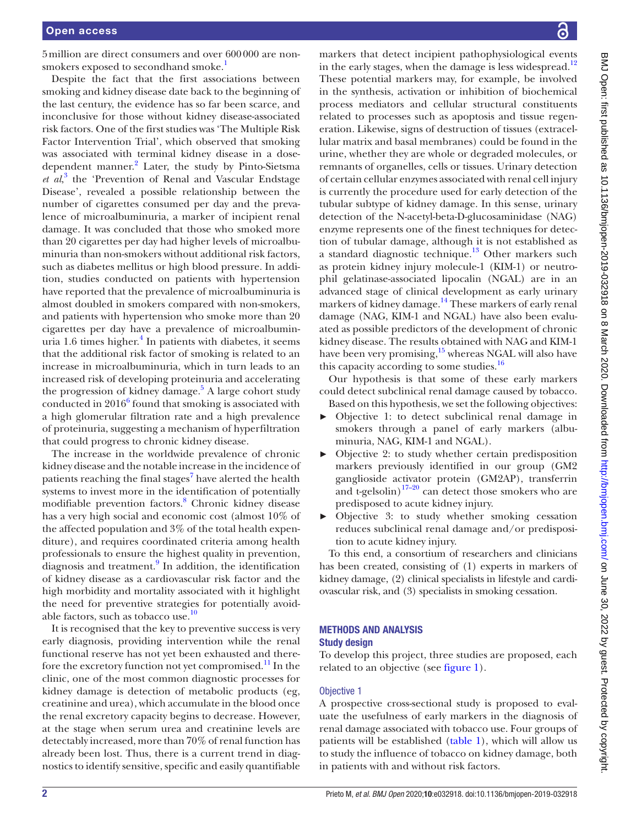5million are direct consumers and over 600000 are nonsmokers exposed to secondhand smoke.<sup>1</sup>

Despite the fact that the first associations between smoking and kidney disease date back to the beginning of the last century, the evidence has so far been scarce, and inconclusive for those without kidney disease-associated risk factors. One of the first studies was 'The Multiple Risk Factor Intervention Trial', which observed that smoking was associated with terminal kidney disease in a dosedependent manner. [2](#page-6-1) Later, the study by Pinto-Sietsma *et al*, [3](#page-6-2) the 'Prevention of Renal and Vascular Endstage Disease', revealed a possible relationship between the number of cigarettes consumed per day and the prevalence of microalbuminuria, a marker of incipient renal damage. It was concluded that those who smoked more than 20 cigarettes per day had higher levels of microalbuminuria than non-smokers without additional risk factors, such as diabetes mellitus or high blood pressure. In addition, studies conducted on patients with hypertension have reported that the prevalence of microalbuminuria is almost doubled in smokers compared with non-smokers, and patients with hypertension who smoke more than 20 cigarettes per day have a prevalence of microalbumin-uria 1.6 times higher.<sup>[4](#page-6-3)</sup> In patients with diabetes, it seems that the additional risk factor of smoking is related to an increase in microalbuminuria, which in turn leads to an increased risk of developing proteinuria and accelerating the progression of kidney damage.<sup>[5](#page-6-4)</sup> A large cohort study conducted in 201[6](#page-6-5)<sup>6</sup> found that smoking is associated with a high glomerular filtration rate and a high prevalence of proteinuria, suggesting a mechanism of hyperfiltration that could progress to chronic kidney disease.

The increase in the worldwide prevalence of chronic kidney disease and the notable increase in the incidence of patients reaching the final stages<sup>[7](#page-6-6)</sup> have alerted the health systems to invest more in the identification of potentially modifiable prevention factors.<sup>[8](#page-6-7)</sup> Chronic kidney disease has a very high social and economic cost (almost 10% of the affected population and 3% of the total health expenditure), and requires coordinated criteria among health professionals to ensure the highest quality in prevention, diagnosis and treatment.<sup>[9](#page-6-8)</sup> In addition, the identification of kidney disease as a cardiovascular risk factor and the high morbidity and mortality associated with it highlight the need for preventive strategies for potentially avoid-able factors, such as tobacco use.<sup>[10](#page-6-9)</sup>

It is recognised that the key to preventive success is very early diagnosis, providing intervention while the renal functional reserve has not yet been exhausted and therefore the excretory function not yet compromised.<sup>11</sup> In the clinic, one of the most common diagnostic processes for kidney damage is detection of metabolic products (eg, creatinine and urea), which accumulate in the blood once the renal excretory capacity begins to decrease. However, at the stage when serum urea and creatinine levels are detectably increased, more than 70% of renal function has already been lost. Thus, there is a current trend in diagnostics to identify sensitive, specific and easily quantifiable

markers that detect incipient pathophysiological events in the early stages, when the damage is less widespread.<sup>[12](#page-6-11)</sup> These potential markers may, for example, be involved in the synthesis, activation or inhibition of biochemical process mediators and cellular structural constituents related to processes such as apoptosis and tissue regeneration. Likewise, signs of destruction of tissues (extracellular matrix and basal membranes) could be found in the urine, whether they are whole or degraded molecules, or remnants of organelles, cells or tissues. Urinary detection of certain cellular enzymes associated with renal cell injury is currently the procedure used for early detection of the tubular subtype of kidney damage. In this sense, urinary detection of the N-acetyl-beta-D-glucosaminidase (NAG) enzyme represents one of the finest techniques for detection of tubular damage, although it is not established as a standard diagnostic technique.<sup>13</sup> Other markers such as protein kidney injury molecule-1 (KIM-1) or neutrophil gelatinase-associated lipocalin (NGAL) are in an advanced stage of clinical development as early urinary markers of kidney damage.<sup>14</sup> These markers of early renal damage (NAG, KIM-1 and NGAL) have also been evaluated as possible predictors of the development of chronic kidney disease. The results obtained with NAG and KIM-1 have been very promising, $15$  whereas NGAL will also have this capacity according to some studies. $16$ 

Our hypothesis is that some of these early markers could detect subclinical renal damage caused by tobacco. Based on this hypothesis, we set the following objectives:

- ► Objective 1: to detect subclinical renal damage in smokers through a panel of early markers (albuminuria, NAG, KIM-1 and NGAL).
- ► Objective 2: to study whether certain predisposition markers previously identified in our group (GM2 ganglioside activator protein (GM2AP), transferrin and t-gelsolin) $17-20$  can detect those smokers who are predisposed to acute kidney injury.
- ► Objective 3: to study whether smoking cessation reduces subclinical renal damage and/or predisposition to acute kidney injury.

To this end, a consortium of researchers and clinicians has been created, consisting of (1) experts in markers of kidney damage, (2) clinical specialists in lifestyle and cardiovascular risk, and (3) specialists in smoking cessation.

#### Methods and analysis Study design

To develop this project, three studies are proposed, each related to an objective (see [figure](#page-2-0) 1).

## Objective 1

A prospective cross-sectional study is proposed to evaluate the usefulness of early markers in the diagnosis of renal damage associated with tobacco use. Four groups of patients will be established [\(table](#page-2-1) 1), which will allow us to study the influence of tobacco on kidney damage, both in patients with and without risk factors.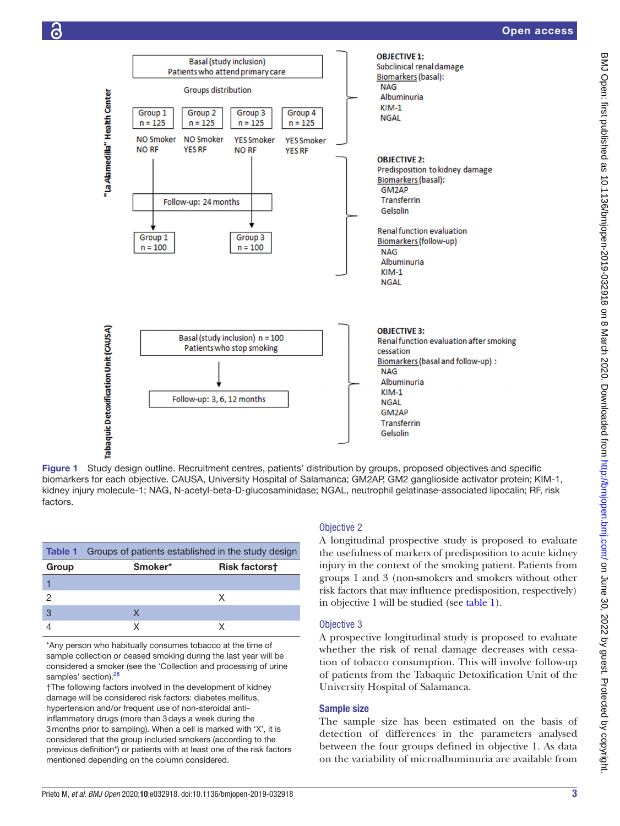

<span id="page-2-0"></span>Figure 1 Study design outline. Recruitment centres, patients' distribution by groups, proposed objectives and specific biomarkers for each objective. CAUSA, University Hospital of Salamanca; GM2AP, GM2 ganglioside activator protein; KIM-1, kidney injury molecule-1; NAG, N-acetyl-beta-D-glucosaminidase; NGAL, neutrophil gelatinase-associated lipocalin; RF, risk factors.

<span id="page-2-1"></span>

| <b>Table 1</b> Groups of patients established in the study design |                      |
|-------------------------------------------------------------------|----------------------|
| Smoker*                                                           | <b>Risk factorst</b> |
|                                                                   |                      |
|                                                                   | x                    |
|                                                                   |                      |
|                                                                   |                      |
|                                                                   |                      |

\*Any person who habitually consumes tobacco at the time of sample collection or ceased smoking during the last year will be considered a smoker (see the 'Collection and processing of urine samples' section).<sup>28</sup>

†The following factors involved in the development of kidney damage will be considered risk factors: diabetes mellitus, hypertension and/or frequent use of non-steroidal antiinflammatory drugs (more than 3days a week during the 3months prior to sampling). When a cell is marked with 'X', it is considered that the group included smokers (according to the previous definition\*) or patients with at least one of the risk factors mentioned depending on the column considered.

#### Objective 2

A longitudinal prospective study is proposed to evaluate the usefulness of markers of predisposition to acute kidney injury in the context of the smoking patient. Patients from groups 1 and 3 (non-smokers and smokers without other risk factors that may influence predisposition, respectively) in objective 1 will be studied (see [table](#page-2-1) 1).

#### Objective 3

A prospective longitudinal study is proposed to evaluate whether the risk of renal damage decreases with cessation of tobacco consumption. This will involve follow-up of patients from the Tabaquic Detoxification Unit of the University Hospital of Salamanca.

#### Sample size

The sample size has been estimated on the basis of detection of differences in the parameters analysed between the four groups defined in objective 1. As data on the variability of microalbuminuria are available from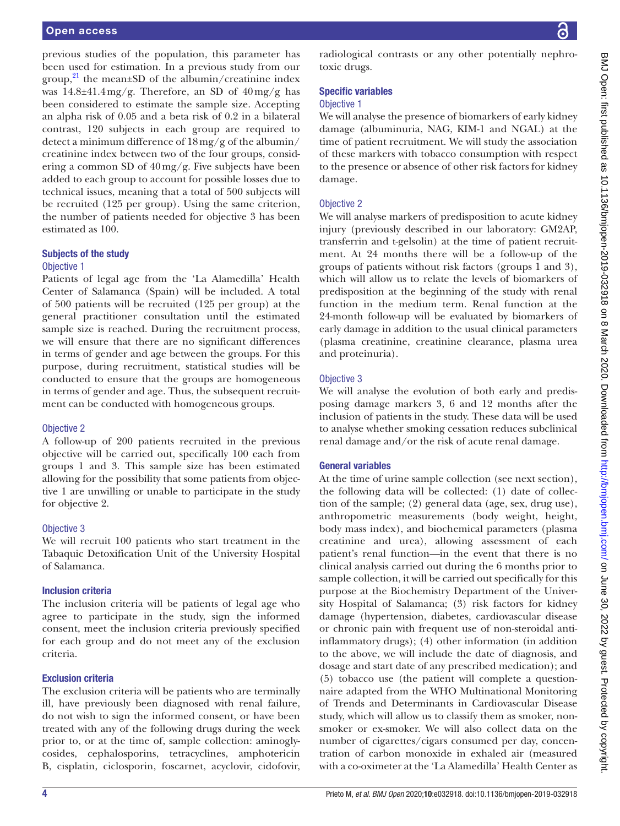previous studies of the population, this parameter has been used for estimation. In a previous study from our group,<sup>21</sup> the mean±SD of the albumin/creatinine index was 14.8±41.4mg/g. Therefore, an SD of 40mg/g has been considered to estimate the sample size. Accepting an alpha risk of 0.05 and a beta risk of 0.2 in a bilateral contrast, 120 subjects in each group are required to detect a minimum difference of 18mg/g of the albumin/ creatinine index between two of the four groups, considering a common SD of 40mg/g. Five subjects have been added to each group to account for possible losses due to technical issues, meaning that a total of 500 subjects will be recruited (125 per group). Using the same criterion, the number of patients needed for objective 3 has been estimated as 100.

# Subjects of the study

#### Objective 1

Patients of legal age from the 'La Alamedilla' Health Center of Salamanca (Spain) will be included. A total of 500 patients will be recruited (125 per group) at the general practitioner consultation until the estimated sample size is reached. During the recruitment process, we will ensure that there are no significant differences in terms of gender and age between the groups. For this purpose, during recruitment, statistical studies will be conducted to ensure that the groups are homogeneous in terms of gender and age. Thus, the subsequent recruitment can be conducted with homogeneous groups.

#### Objective 2

A follow-up of 200 patients recruited in the previous objective will be carried out, specifically 100 each from groups 1 and 3. This sample size has been estimated allowing for the possibility that some patients from objective 1 are unwilling or unable to participate in the study for objective 2.

#### Objective 3

We will recruit 100 patients who start treatment in the Tabaquic Detoxification Unit of the University Hospital of Salamanca.

## Inclusion criteria

The inclusion criteria will be patients of legal age who agree to participate in the study, sign the informed consent, meet the inclusion criteria previously specified for each group and do not meet any of the exclusion criteria.

## Exclusion criteria

The exclusion criteria will be patients who are terminally ill, have previously been diagnosed with renal failure, do not wish to sign the informed consent, or have been treated with any of the following drugs during the week prior to, or at the time of, sample collection: aminoglycosides, cephalosporins, tetracyclines, amphotericin B, cisplatin, ciclosporin, foscarnet, acyclovir, cidofovir,

radiological contrasts or any other potentially nephrotoxic drugs.

## Specific variables

## Objective 1

We will analyse the presence of biomarkers of early kidney damage (albuminuria, NAG, KIM-1 and NGAL) at the time of patient recruitment. We will study the association of these markers with tobacco consumption with respect to the presence or absence of other risk factors for kidney damage.

## Objective 2

We will analyse markers of predisposition to acute kidney injury (previously described in our laboratory: GM2AP, transferrin and t-gelsolin) at the time of patient recruitment. At 24 months there will be a follow-up of the groups of patients without risk factors (groups 1 and 3), which will allow us to relate the levels of biomarkers of predisposition at the beginning of the study with renal function in the medium term. Renal function at the 24-month follow-up will be evaluated by biomarkers of early damage in addition to the usual clinical parameters (plasma creatinine, creatinine clearance, plasma urea and proteinuria).

## Objective 3

We will analyse the evolution of both early and predisposing damage markers 3, 6 and 12 months after the inclusion of patients in the study. These data will be used to analyse whether smoking cessation reduces subclinical renal damage and/or the risk of acute renal damage.

## General variables

At the time of urine sample collection (see next section), the following data will be collected: (1) date of collection of the sample; (2) general data (age, sex, drug use), anthropometric measurements (body weight, height, body mass index), and biochemical parameters (plasma creatinine and urea), allowing assessment of each patient's renal function—in the event that there is no clinical analysis carried out during the 6 months prior to sample collection, it will be carried out specifically for this purpose at the Biochemistry Department of the University Hospital of Salamanca; (3) risk factors for kidney damage (hypertension, diabetes, cardiovascular disease or chronic pain with frequent use of non-steroidal antiinflammatory drugs); (4) other information (in addition to the above, we will include the date of diagnosis, and dosage and start date of any prescribed medication); and (5) tobacco use (the patient will complete a questionnaire adapted from the WHO Multinational Monitoring of Trends and Determinants in Cardiovascular Disease study, which will allow us to classify them as smoker, nonsmoker or ex-smoker. We will also collect data on the number of cigarettes/cigars consumed per day, concentration of carbon monoxide in exhaled air (measured with a co-oximeter at the 'La Alamedilla' Health Center as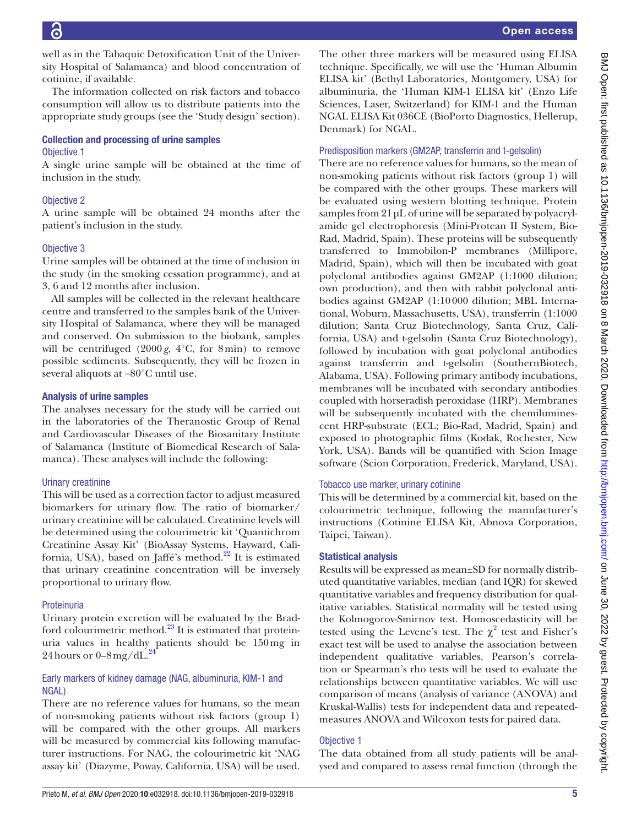well as in the Tabaquic Detoxification Unit of the University Hospital of Salamanca) and blood concentration of cotinine, if available.

The information collected on risk factors and tobacco consumption will allow us to distribute patients into the appropriate study groups (see the 'Study design' section).

## Collection and processing of urine samples

#### Objective 1

A single urine sample will be obtained at the time of inclusion in the study.

#### Objective 2

A urine sample will be obtained 24 months after the patient's inclusion in the study.

#### Objective 3

Urine samples will be obtained at the time of inclusion in the study (in the smoking cessation programme), and at 3, 6 and 12 months after inclusion.

All samples will be collected in the relevant healthcare centre and transferred to the samples bank of the University Hospital of Salamanca, where they will be managed and conserved. On submission to the biobank, samples will be centrifuged (2000*g*, 4°C, for 8min) to remove possible sediments. Subsequently, they will be frozen in several aliquots at −80°C until use.

#### Analysis of urine samples

The analyses necessary for the study will be carried out in the laboratories of the Theranostic Group of Renal and Cardiovascular Diseases of the Biosanitary Institute of Salamanca (Institute of Biomedical Research of Salamanca). These analyses will include the following:

#### Urinary creatinine

This will be used as a correction factor to adjust measured biomarkers for urinary flow. The ratio of biomarker/ urinary creatinine will be calculated. Creatinine levels will be determined using the colourimetric kit 'Quantichrom Creatinine Assay Kit' (BioAssay Systems, Hayward, California, USA), based on Jaffé's method. $^{22}$  $^{22}$  $^{22}$  It is estimated that urinary creatinine concentration will be inversely proportional to urinary flow.

#### **Proteinuria**

Urinary protein excretion will be evaluated by the Bradford colourimetric method. $^{23}$  It is estimated that proteinuria values in healthy patients should be 150mg in [24](#page-7-3) hours or  $0-8$  mg/dL.<sup>24</sup>

#### Early markers of kidney damage (NAG, albuminuria, KIM-1 and NGAL)

There are no reference values for humans, so the mean of non-smoking patients without risk factors (group 1) will be compared with the other groups. All markers will be measured by commercial kits following manufacturer instructions. For NAG, the colourimetric kit 'NAG assay kit' (Diazyme, Poway, California, USA) will be used. The other three markers will be measured using ELISA technique. Specifically, we will use the 'Human Albumin ELISA kit' (Bethyl Laboratories, Montgomery, USA) for albuminuria, the 'Human KIM-1 ELISA kit' (Enzo Life Sciences, Laser, Switzerland) for KIM-1 and the Human NGAL ELISA Kit 036CE (BioPorto Diagnostics, Hellerup, Denmark) for NGAL.

#### Predisposition markers (GM2AP, transferrin and t-gelsolin)

There are no reference values for humans, so the mean of non-smoking patients without risk factors (group 1) will be compared with the other groups. These markers will be evaluated using western blotting technique. Protein samples from 21 µL of urine will be separated by polyacrylamide gel electrophoresis (Mini-Protean II System, Bio-Rad, Madrid, Spain). These proteins will be subsequently transferred to Immobilon-P membranes (Millipore, Madrid, Spain), which will then be incubated with goat polyclonal antibodies against GM2AP (1:1000 dilution; own production), and then with rabbit polyclonal antibodies against GM2AP (1:10000 dilution; MBL International, Woburn, Massachusetts, USA), transferrin (1:1000 dilution; Santa Cruz Biotechnology, Santa Cruz, California, USA) and t-gelsolin (Santa Cruz Biotechnology), followed by incubation with goat polyclonal antibodies against transferrin and t-gelsolin (SouthernBiotech, Alabama, USA). Following primary antibody incubations, membranes will be incubated with secondary antibodies coupled with horseradish peroxidase (HRP). Membranes will be subsequently incubated with the chemiluminescent HRP-substrate (ECL; Bio-Rad, Madrid, Spain) and exposed to photographic films (Kodak, Rochester, New York, USA). Bands will be quantified with Scion Image software (Scion Corporation, Frederick, Maryland, USA).

#### Tobacco use marker, urinary cotinine

This will be determined by a commercial kit, based on the colourimetric technique, following the manufacturer's instructions (Cotinine ELISA Kit, Abnova Corporation, Taipei, Taiwan).

#### Statistical analysis

Results will be expressed as mean±SD for normally distributed quantitative variables, median (and IQR) for skewed quantitative variables and frequency distribution for qualitative variables. Statistical normality will be tested using the Kolmogorov-Smirnov test. Homoscedasticity will be tested using the Levene's test. The  $\chi^2$  test and Fisher's exact test will be used to analyse the association between independent qualitative variables. Pearson's correlation or Spearman's rho tests will be used to evaluate the relationships between quantitative variables. We will use comparison of means (analysis of variance (ANOVA) and Kruskal-Wallis) tests for independent data and repeatedmeasures ANOVA and Wilcoxon tests for paired data.

#### Objective 1

The data obtained from all study patients will be analysed and compared to assess renal function (through the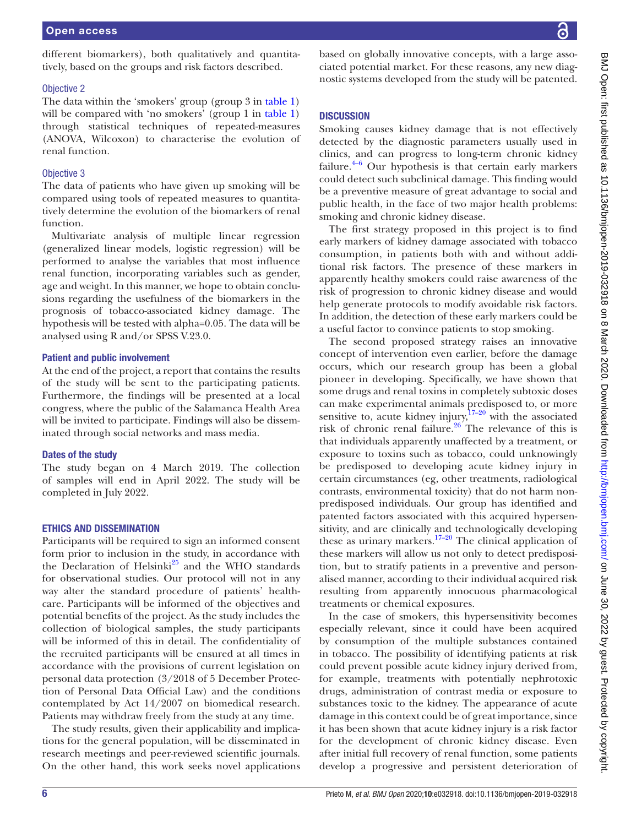different biomarkers), both qualitatively and quantitatively, based on the groups and risk factors described.

#### Objective 2

The data within the 'smokers' group (group 3 in [table](#page-2-1) 1) will be compared with 'no smokers' (group 1 in [table](#page-2-1) 1) through statistical techniques of repeated-measures (ANOVA, Wilcoxon) to characterise the evolution of renal function.

#### Objective 3

The data of patients who have given up smoking will be compared using tools of repeated measures to quantitatively determine the evolution of the biomarkers of renal function.

Multivariate analysis of multiple linear regression (generalized linear models, logistic regression) will be performed to analyse the variables that most influence renal function, incorporating variables such as gender, age and weight. In this manner, we hope to obtain conclusions regarding the usefulness of the biomarkers in the prognosis of tobacco-associated kidney damage. The hypothesis will be tested with alpha=0.05. The data will be analysed using R and/or SPSS V.23.0.

#### Patient and public involvement

At the end of the project, a report that contains the results of the study will be sent to the participating patients. Furthermore, the findings will be presented at a local congress, where the public of the Salamanca Health Area will be invited to participate. Findings will also be disseminated through social networks and mass media.

#### Dates of the study

The study began on 4 March 2019. The collection of samples will end in April 2022. The study will be completed in July 2022.

#### Ethics and dissemination

Participants will be required to sign an informed consent form prior to inclusion in the study, in accordance with the Declaration of Helsinki<sup>25</sup> and the WHO standards for observational studies. Our protocol will not in any way alter the standard procedure of patients' healthcare. Participants will be informed of the objectives and potential benefits of the project. As the study includes the collection of biological samples, the study participants will be informed of this in detail. The confidentiality of the recruited participants will be ensured at all times in accordance with the provisions of current legislation on personal data protection (3/2018 of 5 December Protection of Personal Data Official Law) and the conditions contemplated by Act 14/2007 on biomedical research. Patients may withdraw freely from the study at any time.

The study results, given their applicability and implications for the general population, will be disseminated in research meetings and peer-reviewed scientific journals. On the other hand, this work seeks novel applications

based on globally innovative concepts, with a large associated potential market. For these reasons, any new diagnostic systems developed from the study will be patented.

#### **DISCUSSION**

Smoking causes kidney damage that is not effectively detected by the diagnostic parameters usually used in clinics, and can progress to long-term chronic kidney failure. $4-6$  Our hypothesis is that certain early markers could detect such subclinical damage. This finding would be a preventive measure of great advantage to social and public health, in the face of two major health problems: smoking and chronic kidney disease.

The first strategy proposed in this project is to find early markers of kidney damage associated with tobacco consumption, in patients both with and without additional risk factors. The presence of these markers in apparently healthy smokers could raise awareness of the risk of progression to chronic kidney disease and would help generate protocols to modify avoidable risk factors. In addition, the detection of these early markers could be a useful factor to convince patients to stop smoking.

The second proposed strategy raises an innovative concept of intervention even earlier, before the damage occurs, which our research group has been a global pioneer in developing. Specifically, we have shown that some drugs and renal toxins in completely subtoxic doses can make experimental animals predisposed to, or more sensitive to, acute kidney injury, $17-20$  with the associated risk of chronic renal failure.<sup>26</sup> The relevance of this is that individuals apparently unaffected by a treatment, or exposure to toxins such as tobacco, could unknowingly be predisposed to developing acute kidney injury in certain circumstances (eg, other treatments, radiological contrasts, environmental toxicity) that do not harm nonpredisposed individuals. Our group has identified and patented factors associated with this acquired hypersensitivity, and are clinically and technologically developing these as urinary markers.<sup>17–20</sup> The clinical application of these markers will allow us not only to detect predisposition, but to stratify patients in a preventive and personalised manner, according to their individual acquired risk resulting from apparently innocuous pharmacological treatments or chemical exposures.

In the case of smokers, this hypersensitivity becomes especially relevant, since it could have been acquired by consumption of the multiple substances contained in tobacco. The possibility of identifying patients at risk could prevent possible acute kidney injury derived from, for example, treatments with potentially nephrotoxic drugs, administration of contrast media or exposure to substances toxic to the kidney. The appearance of acute damage in this context could be of great importance, since it has been shown that acute kidney injury is a risk factor for the development of chronic kidney disease. Even after initial full recovery of renal function, some patients develop a progressive and persistent deterioration of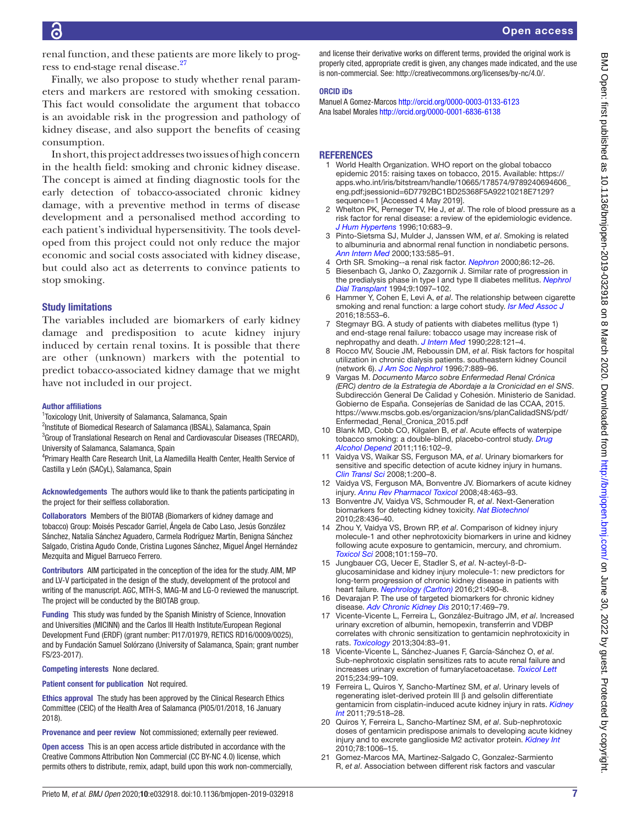renal function, and these patients are more likely to prog-ress to end-stage renal disease.<sup>[27](#page-7-6)</sup>

Finally, we also propose to study whether renal parameters and markers are restored with smoking cessation. This fact would consolidate the argument that tobacco is an avoidable risk in the progression and pathology of kidney disease, and also support the benefits of ceasing consumption.

In short, this project addresses two issues of high concern in the health field: smoking and chronic kidney disease. The concept is aimed at finding diagnostic tools for the early detection of tobacco-associated chronic kidney damage, with a preventive method in terms of disease development and a personalised method according to each patient's individual hypersensitivity. The tools developed from this project could not only reduce the major economic and social costs associated with kidney disease, but could also act as deterrents to convince patients to stop smoking.

#### Study limitations

The variables included are biomarkers of early kidney damage and predisposition to acute kidney injury induced by certain renal toxins. It is possible that there are other (unknown) markers with the potential to predict tobacco-associated kidney damage that we might have not included in our project.

#### Author affiliations

<sup>1</sup> Toxicology Unit, University of Salamanca, Salamanca, Spain

<sup>2</sup>Institute of Biomedical Research of Salamanca (IBSAL), Salamanca, Spain

<sup>3</sup> Group of Translational Research on Renal and Cardiovascular Diseases (TRECARD), University of Salamanca, Salamanca, Spain

4 Primary Health Care Research Unit, La Alamedilla Health Center, Health Service of Castilla y León (SACyL), Salamanca, Spain

Acknowledgements The authors would like to thank the patients participating in the project for their selfless collaboration.

Collaborators Members of the BIOTAB (Biomarkers of kidney damage and tobacco) Group: Moisés Pescador Garriel, Ángela de Cabo Laso, Jesús González Sánchez, Natalia Sánchez Aguadero, Carmela Rodríguez Martín, Benigna Sánchez Salgado, Cristina Agudo Conde, Cristina Lugones Sánchez, Miguel Ángel Hernández Mezquita and Miguel Barrueco Ferrero.

Contributors AIM participated in the conception of the idea for the study. AIM, MP and LV-V participated in the design of the study, development of the protocol and writing of the manuscript. AGC, MTH-S, MAG-M and LG-O reviewed the manuscript. The project will be conducted by the BIOTAB group.

Funding This study was funded by the Spanish Ministry of Science, Innovation and Universities (MICINN) and the Carlos III Health Institute/European Regional Development Fund (ERDF) (grant number: PI17/01979, RETICS RD16/0009/0025), and by Fundación Samuel Solórzano (University of Salamanca, Spain; grant number FS/23-2017).

Competing interests None declared.

Patient consent for publication Not required.

Ethics approval The study has been approved by the Clinical Research Ethics Committee (CEIC) of the Health Area of Salamanca (PI05/01/2018, 16 January 2018).

Provenance and peer review Not commissioned; externally peer reviewed.

Open access This is an open access article distributed in accordance with the Creative Commons Attribution Non Commercial (CC BY-NC 4.0) license, which permits others to distribute, remix, adapt, build upon this work non-commercially, and license their derivative works on different terms, provided the original work is properly cited, appropriate credit is given, any changes made indicated, and the use is non-commercial. See: [http://creativecommons.org/licenses/by-nc/4.0/.](http://creativecommons.org/licenses/by-nc/4.0/)

#### ORCID iDs

Manuel A Gomez-Marcos <http://orcid.org/0000-0003-0133-6123> Ana Isabel Morales <http://orcid.org/0000-0001-6836-6138>

#### **REFERENCES**

- <span id="page-6-0"></span>1 World Health Organization. WHO report on the global tobacco epidemic 2015: raising taxes on tobacco, 2015. Available: [https://](https://apps.who.int/iris/bitstream/handle/10665/178574/9789240694606_eng.pdf;jsessionid=6D7792BC1BD25368F5A92210218E7129?sequence=1) [apps.who.int/iris/bitstream/handle/10665/178574/9789240694606\\_](https://apps.who.int/iris/bitstream/handle/10665/178574/9789240694606_eng.pdf;jsessionid=6D7792BC1BD25368F5A92210218E7129?sequence=1) [eng.pdf;jsessionid=6D7792BC1BD25368F5A92210218E7129?](https://apps.who.int/iris/bitstream/handle/10665/178574/9789240694606_eng.pdf;jsessionid=6D7792BC1BD25368F5A92210218E7129?sequence=1) [sequence=1](https://apps.who.int/iris/bitstream/handle/10665/178574/9789240694606_eng.pdf;jsessionid=6D7792BC1BD25368F5A92210218E7129?sequence=1) [Accessed 4 May 2019].
- <span id="page-6-1"></span>2 Whelton PK, Perneger TV, He J, *et al*. The role of blood pressure as a risk factor for renal disease: a review of the epidemiologic evidence. *[J Hum Hypertens](http://www.ncbi.nlm.nih.gov/pubmed/9004095)* 1996;10:683–9.
- <span id="page-6-2"></span>3 Pinto-Sietsma SJ, Mulder J, Janssen WM, *et al*. Smoking is related to albuminuria and abnormal renal function in nondiabetic persons. *[Ann Intern Med](http://dx.doi.org/10.7326/0003-4819-133-8-200010170-00008)* 2000;133:585–91.
- <span id="page-6-3"></span>4 Orth SR. Smoking--a renal risk factor. *[Nephron](http://dx.doi.org/10.1159/000045708)* 2000;86:12–26.
- <span id="page-6-4"></span>5 Biesenbach G, Janko O, Zazgornik J. Similar rate of progression in the predialysis phase in type I and type II diabetes mellitus. *[Nephrol](http://dx.doi.org/10.1093/ndt/9.8.1097)  [Dial Transplant](http://dx.doi.org/10.1093/ndt/9.8.1097)* 1994;9:1097–102.
- <span id="page-6-5"></span>6 Hammer Y, Cohen E, Levi A, *et al*. The relationship between cigarette smoking and renal function: a large cohort study. *[Isr Med Assoc J](http://www.ncbi.nlm.nih.gov/pubmed/28471605)* 2016;18:553–6.
- <span id="page-6-6"></span>Stegmayr BG. A study of patients with diabetes mellitus (type 1) and end-stage renal failure: tobacco usage may increase risk of nephropathy and death. *[J Intern Med](http://dx.doi.org/10.1111/j.1365-2796.1990.tb00204.x)* 1990;228:121–4.
- <span id="page-6-7"></span>8 Rocco MV, Soucie JM, Reboussin DM, *et al*. Risk factors for hospital utilization in chronic dialysis patients. southeastern kidney Council (network 6). *[J Am Soc Nephrol](http://www.ncbi.nlm.nih.gov/pubmed/8793798)* 1996;7:889–96.
- <span id="page-6-8"></span>9 Vargas M. *Documento Marco sobre Enfermedad Renal Crónica (ERC) dentro de la Estrategia de Abordaje a la Cronicidad en el SNS*. Subdirección General De Calidad y Cohesión. Ministerio de Sanidad. Gobierno de España. Consejerías de Sanidad de las CCAA, 2015. [https://www.mscbs.gob.es/organizacion/sns/planCalidadSNS/pdf/](https://www.mscbs.gob.es/organizacion/sns/planCalidadSNS/pdf/Enfermedad_Renal_Cronica_2015.pdf) [Enfermedad\\_Renal\\_Cronica\\_2015.pdf](https://www.mscbs.gob.es/organizacion/sns/planCalidadSNS/pdf/Enfermedad_Renal_Cronica_2015.pdf)
- <span id="page-6-9"></span>10 Blank MD, Cobb CO, Kilgalen B, *et al*. Acute effects of waterpipe tobacco smoking: a double-blind, placebo-control study. *[Drug](http://dx.doi.org/10.1016/j.drugalcdep.2010.11.026)  [Alcohol Depend](http://dx.doi.org/10.1016/j.drugalcdep.2010.11.026)* 2011;116:102–9.
- <span id="page-6-10"></span>11 Vaidya VS, Waikar SS, Ferguson MA, *et al*. Urinary biomarkers for sensitive and specific detection of acute kidney injury in humans. *[Clin Transl Sci](http://dx.doi.org/10.1111/j.1752-8062.2008.00053.x)* 2008;1:200–8.
- <span id="page-6-11"></span>12 Vaidya VS, Ferguson MA, Bonventre JV. Biomarkers of acute kidney injury. *[Annu Rev Pharmacol Toxicol](http://dx.doi.org/10.1146/annurev.pharmtox.48.113006.094615)* 2008;48:463–93.
- <span id="page-6-12"></span>13 Bonventre JV, Vaidya VS, Schmouder R, *et al*. Next-Generation biomarkers for detecting kidney toxicity. *[Nat Biotechnol](http://dx.doi.org/10.1038/nbt0510-436)* 2010;28:436–40.
- <span id="page-6-13"></span>14 Zhou Y, Vaidya VS, Brown RP, *et al*. Comparison of kidney injury molecule-1 and other nephrotoxicity biomarkers in urine and kidney following acute exposure to gentamicin, mercury, and chromium. *[Toxicol Sci](http://dx.doi.org/10.1093/toxsci/kfm260)* 2008;101:159–70.
- <span id="page-6-14"></span>15 Jungbauer CG, Uecer E, Stadler S, *et al*. N-acteyl-ß-Dglucosaminidase and kidney injury molecule-1: new predictors for long-term progression of chronic kidney disease in patients with heart failure. *[Nephrology \(Carlton\)](http://dx.doi.org/10.1111/nep.12632)* 2016;21:490–8.
- <span id="page-6-15"></span>16 Devarajan P. The use of targeted biomarkers for chronic kidney disease. *[Adv Chronic Kidney Dis](http://dx.doi.org/10.1053/j.ackd.2010.09.002)* 2010;17:469–79.
- <span id="page-6-16"></span>17 Vicente-Vicente L, Ferreira L, González-Buitrago JM, *et al*. Increased urinary excretion of albumin, hemopexin, transferrin and VDBP correlates with chronic sensitization to gentamicin nephrotoxicity in rats. *[Toxicology](http://dx.doi.org/10.1016/j.tox.2012.12.006)* 2013;304:83–91.
- 18 Vicente-Vicente L, Sánchez-Juanes F, García-Sánchez O, *et al*. Sub-nephrotoxic cisplatin sensitizes rats to acute renal failure and increases urinary excretion of fumarylacetoacetase. *[Toxicol Lett](http://dx.doi.org/10.1016/j.toxlet.2014.11.033)* 2015;234:99–109.
- 19 Ferreira L, Quiros Y, Sancho-Martínez SM, *et al*. Urinary levels of regenerating islet-derived protein III β and gelsolin differentiate gentamicin from cisplatin-induced acute kidney injury in rats. *[Kidney](http://dx.doi.org/10.1038/ki.2010.439)  [Int](http://dx.doi.org/10.1038/ki.2010.439)* 2011;79:518–28.
- 20 Quiros Y, Ferreira L, Sancho-Martínez SM, *et al*. Sub-nephrotoxic doses of gentamicin predispose animals to developing acute kidney injury and to excrete ganglioside M2 activator protein. *[Kidney Int](http://dx.doi.org/10.1038/ki.2010.267)* 2010;78:1006–15.
- <span id="page-6-17"></span>21 Gomez-Marcos MA, Martinez-Salgado C, Gonzalez-Sarmiento R, *et al*. Association between different risk factors and vascular